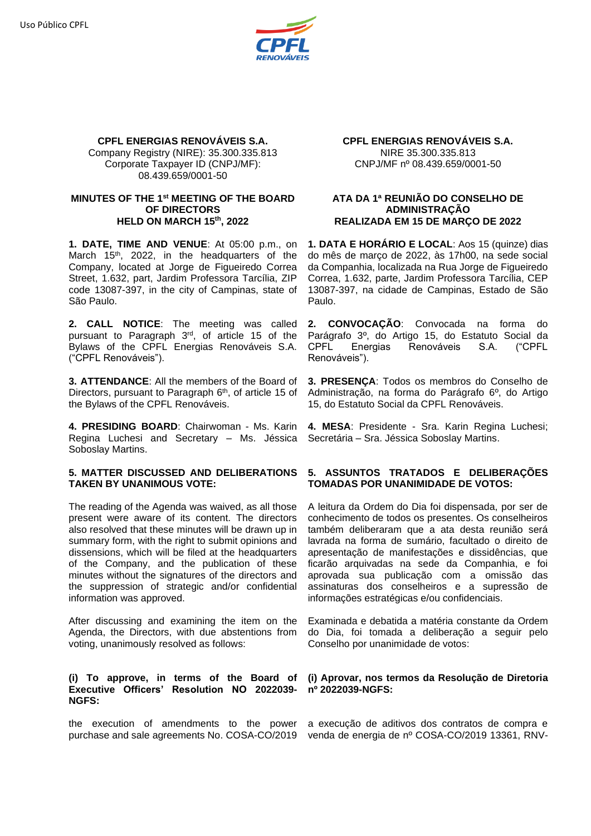

#### **CPFL ENERGIAS RENOVÁVEIS S.A.** Company Registry (NIRE): 35.300.335.813 Corporate Taxpayer ID (CNPJ/MF): 08.439.659/0001-50

### **MINUTES OF THE 1 st MEETING OF THE BOARD OF DIRECTORS HELD ON MARCH 15 th, 2022**

**1. DATE, TIME AND VENUE**: At 05:00 p.m., on March 15<sup>th</sup>, 2022, in the headquarters of the Company, located at Jorge de Figueiredo Correa Street, 1.632, part, Jardim Professora Tarcília, ZIP code 13087-397, in the city of Campinas, state of São Paulo.

**2. CALL NOTICE**: The meeting was called pursuant to Paragraph 3<sup>rd</sup>, of article 15 of the Bylaws of the CPFL Energias Renováveis S.A. ("CPFL Renováveis").

**3. ATTENDANCE**: All the members of the Board of Directors, pursuant to Paragraph 6<sup>th</sup>, of article 15 of the Bylaws of the CPFL Renováveis.

**4. PRESIDING BOARD**: Chairwoman - Ms. Karin Regina Luchesi and Secretary – Ms. Jéssica Soboslay Martins.

## **5. MATTER DISCUSSED AND DELIBERATIONS TAKEN BY UNANIMOUS VOTE:**

The reading of the Agenda was waived, as all those present were aware of its content. The directors also resolved that these minutes will be drawn up in summary form, with the right to submit opinions and dissensions, which will be filed at the headquarters of the Company, and the publication of these minutes without the signatures of the directors and the suppression of strategic and/or confidential information was approved.

After discussing and examining the item on the Agenda, the Directors, with due abstentions from voting, unanimously resolved as follows:

### **(i) To approve, in terms of the Board of Executive Officers' Resolution NO 2022039- NGFS:**

**CPFL ENERGIAS RENOVÁVEIS S.A.** NIRE 35.300.335.813 CNPJ/MF nº 08.439.659/0001-50

## **ATA DA 1ª REUNIÃO DO CONSELHO DE ADMINISTRAÇÃO REALIZADA EM 15 DE MARÇO DE 2022**

**1. DATA E HORÁRIO E LOCAL**: Aos 15 (quinze) dias do mês de março de 2022, às 17h00, na sede social da Companhia, localizada na Rua Jorge de Figueiredo Correa, 1.632, parte, Jardim Professora Tarcília, CEP 13087-397, na cidade de Campinas, Estado de São Paulo.

**2. CONVOCAÇÃO**: Convocada na forma do Parágrafo 3º, do Artigo 15, do Estatuto Social da CPFL Energias Renováveis S.A. ("CPFL Renováveis").

**3. PRESENÇA**: Todos os membros do Conselho de Administração, na forma do Parágrafo 6º, do Artigo 15, do Estatuto Social da CPFL Renováveis.

**4. MESA**: Presidente - Sra. Karin Regina Luchesi; Secretária – Sra. Jéssica Soboslay Martins.

# **5. ASSUNTOS TRATADOS E DELIBERAÇÕES TOMADAS POR UNANIMIDADE DE VOTOS:**

A leitura da Ordem do Dia foi dispensada, por ser de conhecimento de todos os presentes. Os conselheiros também deliberaram que a ata desta reunião será lavrada na forma de sumário, facultado o direito de apresentação de manifestações e dissidências, que ficarão arquivadas na sede da Companhia, e foi aprovada sua publicação com a omissão das assinaturas dos conselheiros e a supressão de informações estratégicas e/ou confidenciais.

Examinada e debatida a matéria constante da Ordem do Dia, foi tomada a deliberação a seguir pelo Conselho por unanimidade de votos:

### **(i) Aprovar, nos termos da Resolução de Diretoria nº 2022039-NGFS:**

the execution of amendments to the power a execução de aditivos dos contratos de compra e purchase and sale agreements No. COSA-CO/2019 venda de energia de nº COSA-CO/2019 13361, RNV-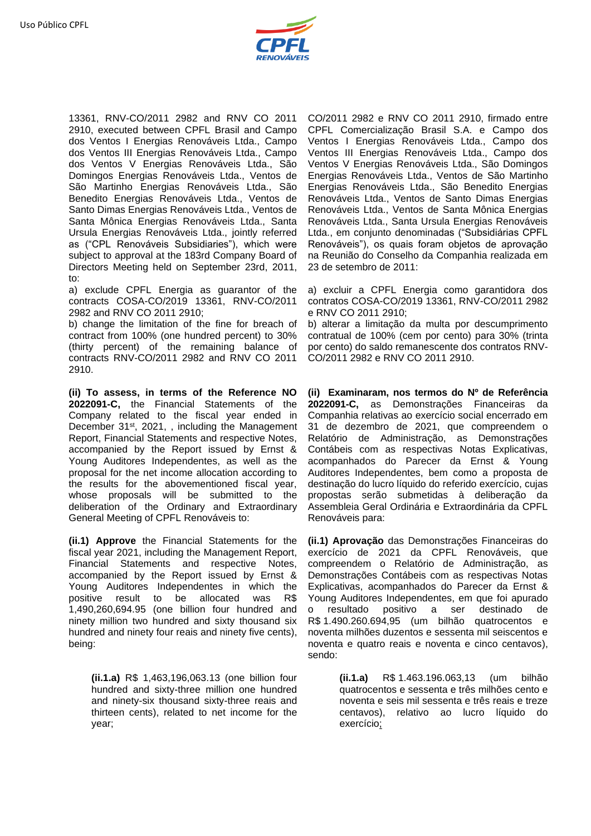

13361, RNV-CO/2011 2982 and RNV CO 2011 2910, executed between CPFL Brasil and Campo dos Ventos I Energias Renováveis Ltda., Campo dos Ventos III Energias Renováveis Ltda., Campo dos Ventos V Energias Renováveis Ltda., São Domingos Energias Renováveis Ltda., Ventos de São Martinho Energias Renováveis Ltda., São Benedito Energias Renováveis Ltda., Ventos de Santo Dimas Energias Renováveis Ltda., Ventos de Santa Mônica Energias Renováveis Ltda., Santa Ursula Energias Renováveis Ltda., jointly referred as ("CPL Renováveis Subsidiaries"), which were subject to approval at the 183rd Company Board of Directors Meeting held on September 23rd, 2011, to:

a) exclude CPFL Energia as guarantor of the contracts COSA-CO/2019 13361, RNV-CO/2011 2982 and RNV CO 2011 2910;

b) change the limitation of the fine for breach of contract from 100% (one hundred percent) to 30% (thirty percent) of the remaining balance of contracts RNV-CO/2011 2982 and RNV CO 2011 2910.

**(ii) To assess, in terms of the Reference NO 2022091-C,** the Financial Statements of the Company related to the fiscal year ended in December 31<sup>st</sup>, 2021, , including the Management Report, Financial Statements and respective Notes, accompanied by the Report issued by Ernst & Young Auditores Independentes, as well as the proposal for the net income allocation according to the results for the abovementioned fiscal year, whose proposals will be submitted to the deliberation of the Ordinary and Extraordinary General Meeting of CPFL Renováveis to:

**(ii.1) Approve** the Financial Statements for the fiscal year 2021, including the Management Report, Financial Statements and respective Notes, accompanied by the Report issued by Ernst & Young Auditores Independentes in which the positive result to be allocated was R\$ 1,490,260,694.95 (one billion four hundred and ninety million two hundred and sixty thousand six hundred and ninety four reais and ninety five cents), being:

**(ii.1.a)** R\$ 1,463,196,063.13 (one billion four hundred and sixty-three million one hundred and ninety-six thousand sixty-three reais and thirteen cents), related to net income for the year;

CO/2011 2982 e RNV CO 2011 2910, firmado entre CPFL Comercialização Brasil S.A. e Campo dos Ventos I Energias Renováveis Ltda., Campo dos Ventos III Energias Renováveis Ltda., Campo dos Ventos V Energias Renováveis Ltda., São Domingos Energias Renováveis Ltda., Ventos de São Martinho Energias Renováveis Ltda., São Benedito Energias Renováveis Ltda., Ventos de Santo Dimas Energias Renováveis Ltda., Ventos de Santa Mônica Energias Renováveis Ltda., Santa Ursula Energias Renováveis Ltda., em conjunto denominadas ("Subsidiárias CPFL Renováveis"), os quais foram objetos de aprovação na Reunião do Conselho da Companhia realizada em 23 de setembro de 2011:

a) excluir a CPFL Energia como garantidora dos contratos COSA-CO/2019 13361, RNV-CO/2011 2982 e RNV CO 2011 2910;

b) alterar a limitação da multa por descumprimento contratual de 100% (cem por cento) para 30% (trinta por cento) do saldo remanescente dos contratos RNV-CO/2011 2982 e RNV CO 2011 2910.

**(ii) Examinaram, nos termos do Nº de Referência 2022091-C,** as Demonstrações Financeiras da Companhia relativas ao exercício social encerrado em 31 de dezembro de 2021, que compreendem o Relatório de Administração, as Demonstrações Contábeis com as respectivas Notas Explicativas, acompanhados do Parecer da Ernst & Young Auditores Independentes, bem como a proposta de destinação do lucro líquido do referido exercício, cujas propostas serão submetidas à deliberação da Assembleia Geral Ordinária e Extraordinária da CPFL Renováveis para:

**(ii.1) Aprovação** das Demonstrações Financeiras do exercício de 2021 da CPFL Renováveis, que compreendem o Relatório de Administração, as Demonstrações Contábeis com as respectivas Notas Explicativas, acompanhados do Parecer da Ernst & Young Auditores Independentes, em que foi apurado o resultado positivo a ser destinado de R\$ 1.490.260.694,95 (um bilhão quatrocentos e noventa milhões duzentos e sessenta mil seiscentos e noventa e quatro reais e noventa e cinco centavos), sendo:

> **(ii.1.a)** R\$ 1.463.196.063,13 (um bilhão quatrocentos e sessenta e três milhões cento e noventa e seis mil sessenta e três reais e treze centavos), relativo ao lucro líquido do exercício;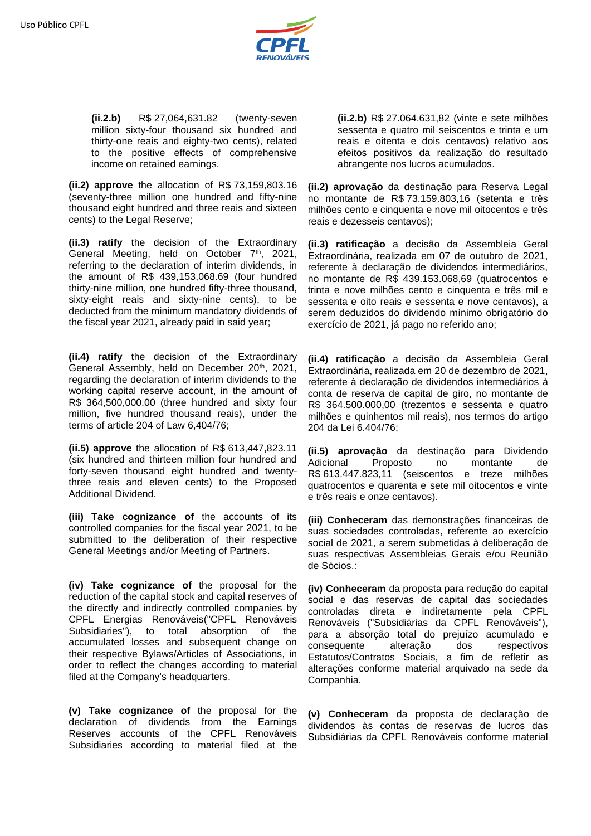

**(ii.2.b)** R\$ 27,064,631.82 (twenty-seven million sixty-four thousand six hundred and thirty-one reais and eighty-two cents), related to the positive effects of comprehensive income on retained earnings.

**(ii.2) approve** the allocation of R\$ 73,159,803.16 (seventy-three million one hundred and fifty-nine thousand eight hundred and three reais and sixteen cents) to the Legal Reserve;

**(ii.3) ratify** the decision of the Extraordinary General Meeting, held on October 7<sup>th</sup>, 2021, referring to the declaration of interim dividends, in the amount of R\$ 439,153,068.69 (four hundred thirty-nine million, one hundred fifty-three thousand, sixty-eight reais and sixty-nine cents), to be deducted from the minimum mandatory dividends of the fiscal year 2021, already paid in said year;

**(ii.4) ratify** the decision of the Extraordinary General Assembly, held on December 20<sup>th</sup>, 2021, regarding the declaration of interim dividends to the working capital reserve account, in the amount of R\$ 364,500,000.00 (three hundred and sixty four million, five hundred thousand reais), under the terms of article 204 of Law 6,404/76;

**(ii.5) approve** the allocation of R\$ 613,447,823.11 (six hundred and thirteen million four hundred and forty-seven thousand eight hundred and twentythree reais and eleven cents) to the Proposed Additional Dividend.

**(iii) Take cognizance of** the accounts of its controlled companies for the fiscal year 2021, to be submitted to the deliberation of their respective General Meetings and/or Meeting of Partners.

**(iv) Take cognizance of** the proposal for the reduction of the capital stock and capital reserves of the directly and indirectly controlled companies by CPFL Energias Renováveis("CPFL Renováveis Subsidiaries"), to total absorption of the accumulated losses and subsequent change on their respective Bylaws/Articles of Associations, in order to reflect the changes according to material filed at the Company's headquarters.

**(v) Take cognizance of** the proposal for the declaration of dividends from the Earnings Reserves accounts of the CPFL Renováveis Subsidiaries according to material filed at the

**(ii.2.b)** R\$ 27.064.631,82 (vinte e sete milhões sessenta e quatro mil seiscentos e trinta e um reais e oitenta e dois centavos) relativo aos efeitos positivos da realização do resultado abrangente nos lucros acumulados.

**(ii.2) aprovação** da destinação para Reserva Legal no montante de R\$ 73.159.803,16 (setenta e três milhões cento e cinquenta e nove mil oitocentos e três reais e dezesseis centavos);

**(ii.3) ratificação** a decisão da Assembleia Geral Extraordinária, realizada em 07 de outubro de 2021, referente à declaração de dividendos intermediários, no montante de R\$ 439.153.068,69 (quatrocentos e trinta e nove milhões cento e cinquenta e três mil e sessenta e oito reais e sessenta e nove centavos), a serem deduzidos do dividendo mínimo obrigatório do exercício de 2021, já pago no referido ano;

**(ii.4) ratificação** a decisão da Assembleia Geral Extraordinária, realizada em 20 de dezembro de 2021, referente à declaração de dividendos intermediários à conta de reserva de capital de giro, no montante de R\$ 364.500.000,00 (trezentos e sessenta e quatro milhões e quinhentos mil reais), nos termos do artigo 204 da Lei 6.404/76;

**(ii.5) aprovação** da destinação para Dividendo Adicional Proposto no montante de R\$ 613.447.823,11 (seiscentos e treze milhões quatrocentos e quarenta e sete mil oitocentos e vinte e três reais e onze centavos).

**(iii) Conheceram** das demonstrações financeiras de suas sociedades controladas, referente ao exercício social de 2021, a serem submetidas à deliberação de suas respectivas Assembleias Gerais e/ou Reunião de Sócios.:

**(iv) Conheceram** da proposta para redução do capital social e das reservas de capital das sociedades controladas direta e indiretamente pela CPFL Renováveis ("Subsidiárias da CPFL Renováveis"), para a absorção total do prejuízo acumulado e consequente alteração dos respectivos Estatutos/Contratos Sociais, a fim de refletir as alterações conforme material arquivado na sede da Companhia.

**(v) Conheceram** da proposta de declaração de dividendos às contas de reservas de lucros das Subsidiárias da CPFL Renováveis conforme material